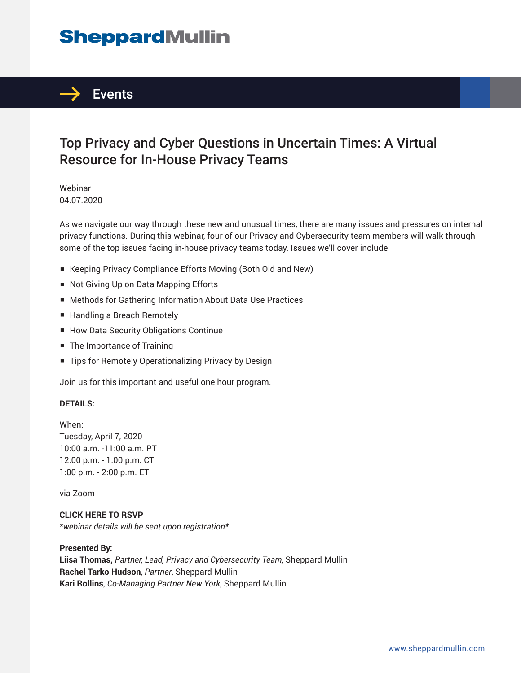# **SheppardMullin**



## Top Privacy and Cyber Questions in Uncertain Times: A Virtual Resource for In-House Privacy Teams

Webinar 04.07.2020

As we navigate our way through these new and unusual times, there are many issues and pressures on internal privacy functions. During this webinar, four of our Privacy and Cybersecurity team members will walk through some of the top issues facing in-house privacy teams today. Issues we'll cover include:

- Keeping Privacy Compliance Efforts Moving (Both Old and New)
- Not Giving Up on Data Mapping Efforts
- Methods for Gathering Information About Data Use Practices
- Handling a Breach Remotely
- How Data Security Obligations Continue
- The Importance of Training
- Tips for Remotely Operationalizing Privacy by Design

Join us for this important and useful one hour program.

#### **DETAILS:**

When: Tuesday, April 7, 2020 10:00 a.m. -11:00 a.m. PT 12:00 p.m. - 1:00 p.m. CT 1:00 p.m. - 2:00 p.m. ET

via Zoom

**CLICK HERE TO RSVP** *\*webinar details will be sent upon registration\**

#### **Presented By:**

**Liisa Thomas,** *Partner, Lead, Privacy and Cybersecurity Team,* Sheppard Mullin **Rachel Tarko Hudson**, *Partner*, Sheppard Mullin **Kari Rollins**, *Co-Managing Partner New York*, Sheppard Mullin